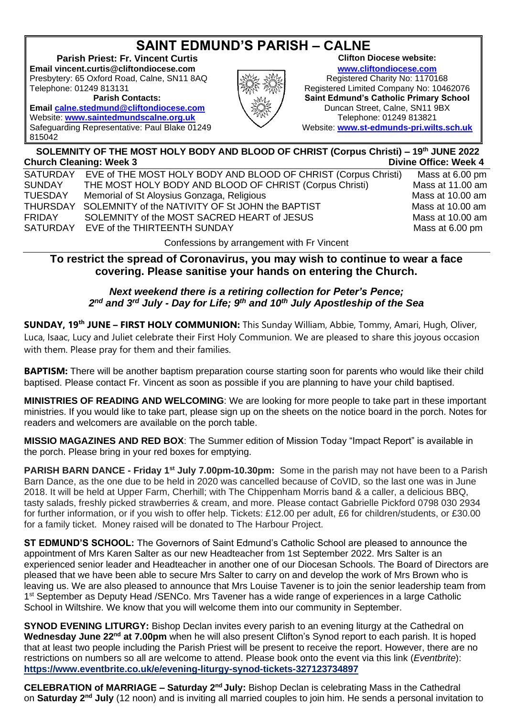## **SAINT EDMUND'S PARISH – CALNE**

**Parish Priest: Fr. Vincent Curtis CLIFT And Allergian Clifton Diocese website: Email vincent.curtis@cliftondiocese.com**<br>Presbytery: 65 Oxford Road, Calne, SN11 8AQ **Reqistered Charity No: 1170168** Presbytery: 65 Oxford Road, Calne, SN11 8AQ Telephone: 01249 813131 **Registered Limited Company No: 10462076** 

**Email** [calne.stedmund@cliftondiocese.com](mailto:calne.stedmund@cliftondiocese.com) Website: [www.saintedmundscalne.org.uk](http://www.saintedmundscalne.org.uk/) **Next Albert 2012/09 1249 813821** Safeguarding Representative: Paul Blake 01249 815042



**Parish Contacts:**<br>**Saint Edmund's Catholic Primary School**<br>Duncan Street, Calne, SN11 9BX Website: **[www.st-edmunds-pri.wilts.sch.uk](http://www.st-edmunds-pri.wilts.sch.uk/)**

## **SOLEMNITY OF THE MOST HOLY BODY AND BLOOD OF CHRIST (Corpus Christi) – 19 th JUNE 2022 Church Cleaning: Week 3** Divine Office: Week 4

| SATURDAY       | EVE of THE MOST HOLY BODY AND BLOOD OF CHRIST (Corpus Christi) | Mass at 6.00 pm  |
|----------------|----------------------------------------------------------------|------------------|
| SUNDAY         | THE MOST HOLY BODY AND BLOOD OF CHRIST (Corpus Christi)        | Mass at 11.00 am |
| <b>TUESDAY</b> | Memorial of St Aloysius Gonzaga, Religious                     | Mass at 10.00 am |
| THURSDAY       | SOLEMNITY of the NATIVITY OF St JOHN the BAPTIST               | Mass at 10.00 am |
| FRIDAY         | SOLEMNITY of the MOST SACRED HEART of JESUS                    | Mass at 10.00 am |
| SATURDAY       | EVE of the THIRTEENTH SUNDAY                                   | Mass at 6.00 pm  |
|                |                                                                |                  |

Confessions by arrangement with Fr Vincent

## **To restrict the spread of Coronavirus, you may wish to continue to wear a face covering. Please sanitise your hands on entering the Church.**

## *Next weekend there is a retiring collection for Peter's Pence; 2 nd and 3rd July - Day for Life; 9 th and 10th July Apostleship of the Sea*

**SUNDAY, 19th JUNE – FIRST HOLY COMMUNION:** This Sunday William, Abbie, Tommy, Amari, Hugh, Oliver, Luca, Isaac, Lucy and Juliet celebrate their First Holy Communion. We are pleased to share this joyous occasion with them. Please pray for them and their families.

**BAPTISM:** There will be another baptism preparation course starting soon for parents who would like their child baptised. Please contact Fr. Vincent as soon as possible if you are planning to have your child baptised.

**MINISTRIES OF READING AND WELCOMING**: We are looking for more people to take part in these important ministries. If you would like to take part, please sign up on the sheets on the notice board in the porch. Notes for readers and welcomers are available on the porch table.

**MISSIO MAGAZINES AND RED BOX**: The Summer edition of Mission Today "Impact Report" is available in the porch. Please bring in your red boxes for emptying.

**PARISH BARN DANCE - Friday 1st July 7.00pm-10.30pm:** Some in the parish may not have been to a Parish Barn Dance, as the one due to be held in 2020 was cancelled because of CoVID, so the last one was in June 2018. It will be held at Upper Farm, Cherhill; with The Chippenham Morris band & a caller, a delicious BBQ, tasty salads, freshly picked strawberries & cream, and more. Please contact Gabrielle Pickford 0798 030 2934 for further information, or if you wish to offer help. Tickets: £12.00 per adult, £6 for children/students, or £30.00 for a family ticket. Money raised will be donated to The Harbour Project.

**ST EDMUND'S SCHOOL:** The Governors of Saint Edmund's Catholic School are pleased to announce the appointment of Mrs Karen Salter as our new Headteacher from 1st September 2022. Mrs Salter is an experienced senior leader and Headteacher in another one of our Diocesan Schools. The Board of Directors are pleased that we have been able to secure Mrs Salter to carry on and develop the work of Mrs Brown who is leaving us. We are also pleased to announce that Mrs Louise Tavener is to join the senior leadership team from 1<sup>st</sup> September as Deputy Head /SENCo. Mrs Tavener has a wide range of experiences in a large Catholic School in Wiltshire. We know that you will welcome them into our community in September.

**SYNOD EVENING LITURGY:** Bishop Declan invites every parish to an evening liturgy at the Cathedral on **Wednesday June 22nd at 7.00pm** when he will also present Clifton's Synod report to each parish. It is hoped that at least two people including the Parish Priest will be present to receive the report. However, there are no restrictions on numbers so all are welcome to attend. Please book onto the event via this link (*Eventbrite*): **[https://www.eventbrite.co.uk/e/evening-liturgy-synod-tickets-327123734897](https://eur02.safelinks.protection.outlook.com/?url=https%3A%2F%2Fwww.eventbrite.co.uk%2Fe%2Fevening-liturgy-synod-tickets-327123734897&data=05%7C01%7Cvincent.curtis%40cliftondiocese.com%7C0544ae0349ef40b424ac08da275a5770%7Cf10b8f13604e4fa29e1204a7fad22e94%7C0%7C0%7C637865566213704703%7CUnknown%7CTWFpbGZsb3d8eyJWIjoiMC4wLjAwMDAiLCJQIjoiV2luMzIiLCJBTiI6Ik1haWwiLCJXVCI6Mn0%3D%7C3000%7C%7C%7C&sdata=W6IgiEx5Z0vVsaSLIEagXQBAOFGQCvSyB5IGE4NGuNg%3D&reserved=0)**

**CELEBRATION of MARRIAGE – Saturday 2 nd July:** Bishop Declan is celebrating Mass in the Cathedral on Saturday 2<sup>nd</sup> July (12 noon) and is inviting all married couples to join him. He sends a personal invitation to